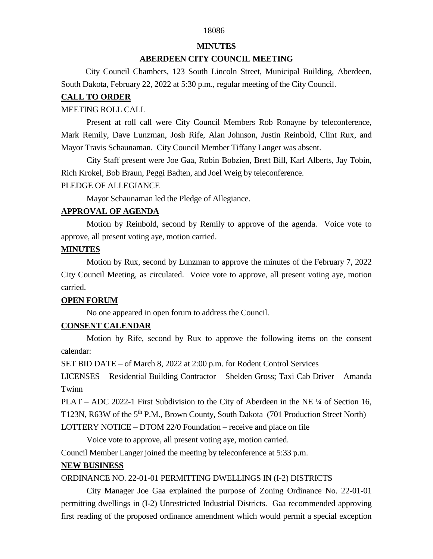## 18086

#### **MINUTES**

#### **ABERDEEN CITY COUNCIL MEETING**

 City Council Chambers, 123 South Lincoln Street, Municipal Building, Aberdeen, South Dakota, February 22, 2022 at 5:30 p.m., regular meeting of the City Council.

#### **CALL TO ORDER**

#### MEETING ROLL CALL

Present at roll call were City Council Members Rob Ronayne by teleconference, Mark Remily, Dave Lunzman, Josh Rife, Alan Johnson, Justin Reinbold, Clint Rux, and Mayor Travis Schaunaman. City Council Member Tiffany Langer was absent.

City Staff present were Joe Gaa, Robin Bobzien, Brett Bill, Karl Alberts, Jay Tobin, Rich Krokel, Bob Braun, Peggi Badten, and Joel Weig by teleconference.

#### PLEDGE OF ALLEGIANCE

Mayor Schaunaman led the Pledge of Allegiance.

### **APPROVAL OF AGENDA**

Motion by Reinbold, second by Remily to approve of the agenda. Voice vote to approve, all present voting aye, motion carried.

#### **MINUTES**

Motion by Rux, second by Lunzman to approve the minutes of the February 7, 2022 City Council Meeting, as circulated. Voice vote to approve, all present voting aye, motion carried.

## **OPEN FORUM**

No one appeared in open forum to address the Council.

# **CONSENT CALENDAR**

Motion by Rife, second by Rux to approve the following items on the consent calendar:

SET BID DATE – of March 8, 2022 at 2:00 p.m. for Rodent Control Services

LICENSES – Residential Building Contractor – Shelden Gross; Taxi Cab Driver – Amanda Twinn

PLAT – ADC 2022-1 First Subdivision to the City of Aberdeen in the NE ¼ of Section 16, T123N, R63W of the 5<sup>th</sup> P.M., Brown County, South Dakota (701 Production Street North) LOTTERY NOTICE – DTOM 22/0 Foundation – receive and place on file

Voice vote to approve, all present voting aye, motion carried.

Council Member Langer joined the meeting by teleconference at 5:33 p.m.

#### **NEW BUSINESS**

ORDINANCE NO. 22-01-01 PERMITTING DWELLINGS IN (I-2) DISTRICTS

City Manager Joe Gaa explained the purpose of Zoning Ordinance No. 22-01-01 permitting dwellings in (I-2) Unrestricted Industrial Districts. Gaa recommended approving first reading of the proposed ordinance amendment which would permit a special exception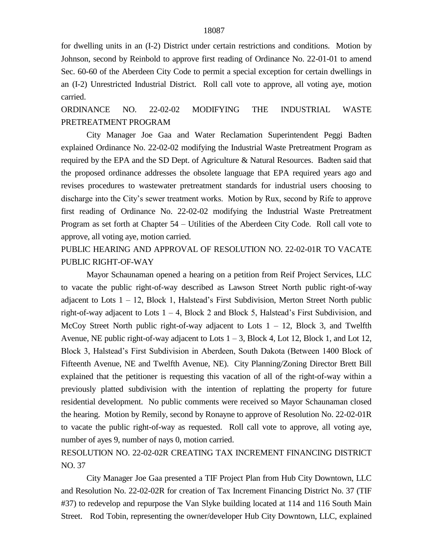for dwelling units in an (I-2) District under certain restrictions and conditions. Motion by Johnson, second by Reinbold to approve first reading of Ordinance No. 22-01-01 to amend Sec. 60-60 of the Aberdeen City Code to permit a special exception for certain dwellings in an (I-2) Unrestricted Industrial District. Roll call vote to approve, all voting aye, motion carried.

ORDINANCE NO. 22-02-02 MODIFYING THE INDUSTRIAL WASTE PRETREATMENT PROGRAM

City Manager Joe Gaa and Water Reclamation Superintendent Peggi Badten explained Ordinance No. 22-02-02 modifying the Industrial Waste Pretreatment Program as required by the EPA and the SD Dept. of Agriculture & Natural Resources. Badten said that the proposed ordinance addresses the obsolete language that EPA required years ago and revises procedures to wastewater pretreatment standards for industrial users choosing to discharge into the City's sewer treatment works. Motion by Rux, second by Rife to approve first reading of Ordinance No. 22-02-02 modifying the Industrial Waste Pretreatment Program as set forth at Chapter 54 – Utilities of the Aberdeen City Code. Roll call vote to approve, all voting aye, motion carried.

PUBLIC HEARING AND APPROVAL OF RESOLUTION NO. 22-02-01R TO VACATE PUBLIC RIGHT-OF-WAY

Mayor Schaunaman opened a hearing on a petition from Reif Project Services, LLC to vacate the public right-of-way described as Lawson Street North public right-of-way adjacent to Lots  $1 - 12$ , Block 1, Halstead's First Subdivision, Merton Street North public right-of-way adjacent to Lots  $1 - 4$ , Block 2 and Block 5, Halstead's First Subdivision, and McCoy Street North public right-of-way adjacent to Lots  $1 - 12$ , Block 3, and Twelfth Avenue, NE public right-of-way adjacent to Lots 1 – 3, Block 4, Lot 12, Block 1, and Lot 12, Block 3, Halstead's First Subdivision in Aberdeen, South Dakota (Between 1400 Block of Fifteenth Avenue, NE and Twelfth Avenue, NE). City Planning/Zoning Director Brett Bill explained that the petitioner is requesting this vacation of all of the right-of-way within a previously platted subdivision with the intention of replatting the property for future residential development. No public comments were received so Mayor Schaunaman closed the hearing. Motion by Remily, second by Ronayne to approve of Resolution No. 22-02-01R to vacate the public right-of-way as requested. Roll call vote to approve, all voting aye, number of ayes 9, number of nays 0, motion carried.

RESOLUTION NO. 22-02-02R CREATING TAX INCREMENT FINANCING DISTRICT NO. 37

City Manager Joe Gaa presented a TIF Project Plan from Hub City Downtown, LLC and Resolution No. 22-02-02R for creation of Tax Increment Financing District No. 37 (TIF #37) to redevelop and repurpose the Van Slyke building located at 114 and 116 South Main Street. Rod Tobin, representing the owner/developer Hub City Downtown, LLC, explained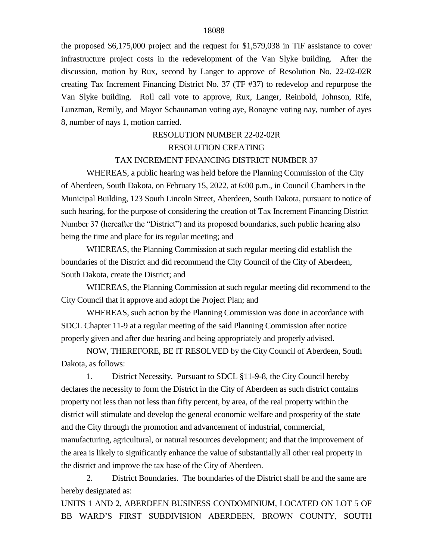the proposed \$6,175,000 project and the request for \$1,579,038 in TIF assistance to cover infrastructure project costs in the redevelopment of the Van Slyke building. After the discussion, motion by Rux, second by Langer to approve of Resolution No. 22-02-02R creating Tax Increment Financing District No. 37 (TF #37) to redevelop and repurpose the Van Slyke building. Roll call vote to approve, Rux, Langer, Reinbold, Johnson, Rife, Lunzman, Remily, and Mayor Schaunaman voting aye, Ronayne voting nay, number of ayes 8, number of nays 1, motion carried.

# RESOLUTION NUMBER 22-02-02R RESOLUTION CREATING

#### TAX INCREMENT FINANCING DISTRICT NUMBER 37

WHEREAS, a public hearing was held before the Planning Commission of the City of Aberdeen, South Dakota, on February 15, 2022, at 6:00 p.m., in Council Chambers in the Municipal Building, 123 South Lincoln Street, Aberdeen, South Dakota, pursuant to notice of such hearing, for the purpose of considering the creation of Tax Increment Financing District Number 37 (hereafter the "District") and its proposed boundaries, such public hearing also being the time and place for its regular meeting; and

WHEREAS, the Planning Commission at such regular meeting did establish the boundaries of the District and did recommend the City Council of the City of Aberdeen, South Dakota, create the District; and

WHEREAS, the Planning Commission at such regular meeting did recommend to the City Council that it approve and adopt the Project Plan; and

WHEREAS, such action by the Planning Commission was done in accordance with SDCL Chapter 11-9 at a regular meeting of the said Planning Commission after notice properly given and after due hearing and being appropriately and properly advised.

NOW, THEREFORE, BE IT RESOLVED by the City Council of Aberdeen, South Dakota, as follows:

1. District Necessity. Pursuant to SDCL §11-9-8, the City Council hereby declares the necessity to form the District in the City of Aberdeen as such district contains property not less than not less than fifty percent, by area, of the real property within the district will stimulate and develop the general economic welfare and prosperity of the state and the City through the promotion and advancement of industrial, commercial, manufacturing, agricultural, or natural resources development; and that the improvement of the area is likely to significantly enhance the value of substantially all other real property in the district and improve the tax base of the City of Aberdeen.

2. District Boundaries. The boundaries of the District shall be and the same are hereby designated as:

UNITS 1 AND 2, ABERDEEN BUSINESS CONDOMINIUM, LOCATED ON LOT 5 OF BB WARD'S FIRST SUBDIVISION ABERDEEN, BROWN COUNTY, SOUTH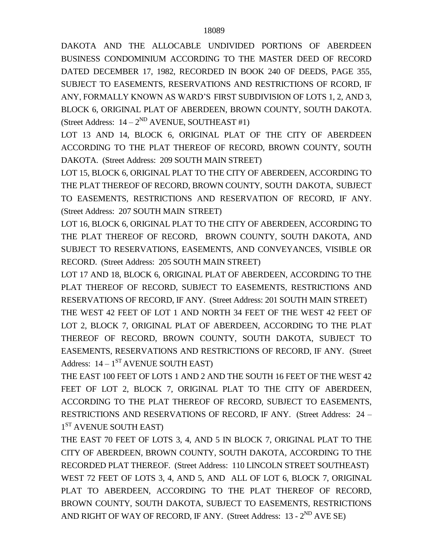DAKOTA AND THE ALLOCABLE UNDIVIDED PORTIONS OF ABERDEEN BUSINESS CONDOMINIUM ACCORDING TO THE MASTER DEED OF RECORD DATED DECEMBER 17, 1982, RECORDED IN BOOK 240 OF DEEDS, PAGE 355, SUBJECT TO EASEMENTS, RESERVATIONS AND RESTRICTIONS OF RCORD, IF ANY, FORMALLY KNOWN AS WARD'S FIRST SUBDIVISION OF LOTS 1, 2, AND 3, BLOCK 6, ORIGINAL PLAT OF ABERDEEN, BROWN COUNTY, SOUTH DAKOTA. (Street Address:  $14 - 2^{ND}$  AVENUE, SOUTHEAST #1)

LOT 13 AND 14, BLOCK 6, ORIGINAL PLAT OF THE CITY OF ABERDEEN ACCORDING TO THE PLAT THEREOF OF RECORD, BROWN COUNTY, SOUTH DAKOTA. (Street Address: 209 SOUTH MAIN STREET)

LOT 15, BLOCK 6, ORIGINAL PLAT TO THE CITY OF ABERDEEN, ACCORDING TO THE PLAT THEREOF OF RECORD, BROWN COUNTY, SOUTH DAKOTA, SUBJECT TO EASEMENTS, RESTRICTIONS AND RESERVATION OF RECORD, IF ANY. (Street Address: 207 SOUTH MAIN STREET)

LOT 16, BLOCK 6, ORIGINAL PLAT TO THE CITY OF ABERDEEN, ACCORDING TO THE PLAT THEREOF OF RECORD, BROWN COUNTY, SOUTH DAKOTA, AND SUBJECT TO RESERVATIONS, EASEMENTS, AND CONVEYANCES, VISIBLE OR RECORD. (Street Address: 205 SOUTH MAIN STREET)

LOT 17 AND 18, BLOCK 6, ORIGINAL PLAT OF ABERDEEN, ACCORDING TO THE PLAT THEREOF OF RECORD, SUBJECT TO EASEMENTS, RESTRICTIONS AND RESERVATIONS OF RECORD, IF ANY. (Street Address: 201 SOUTH MAIN STREET) THE WEST 42 FEET OF LOT 1 AND NORTH 34 FEET OF THE WEST 42 FEET OF LOT 2, BLOCK 7, ORIGINAL PLAT OF ABERDEEN, ACCORDING TO THE PLAT THEREOF OF RECORD, BROWN COUNTY, SOUTH DAKOTA, SUBJECT TO EASEMENTS, RESERVATIONS AND RESTRICTIONS OF RECORD, IF ANY. (Street Address:  $14-1^\text{ST}$  AVENUE SOUTH EAST)

THE EAST 100 FEET OF LOTS 1 AND 2 AND THE SOUTH 16 FEET OF THE WEST 42 FEET OF LOT 2, BLOCK 7, ORIGINAL PLAT TO THE CITY OF ABERDEEN. ACCORDING TO THE PLAT THEREOF OF RECORD, SUBJECT TO EASEMENTS, RESTRICTIONS AND RESERVATIONS OF RECORD, IF ANY. (Street Address: 24 – 1<sup>ST</sup> AVENUE SOUTH EAST)

THE EAST 70 FEET OF LOTS 3, 4, AND 5 IN BLOCK 7, ORIGINAL PLAT TO THE CITY OF ABERDEEN, BROWN COUNTY, SOUTH DAKOTA, ACCORDING TO THE RECORDED PLAT THEREOF. (Street Address: 110 LINCOLN STREET SOUTHEAST) WEST 72 FEET OF LOTS 3, 4, AND 5, AND ALL OF LOT 6, BLOCK 7, ORIGINAL PLAT TO ABERDEEN, ACCORDING TO THE PLAT THEREOF OF RECORD, BROWN COUNTY, SOUTH DAKOTA, SUBJECT TO EASEMENTS, RESTRICTIONS AND RIGHT OF WAY OF RECORD, IF ANY. (Street Address: 13 - 2<sup>ND</sup> AVE SE)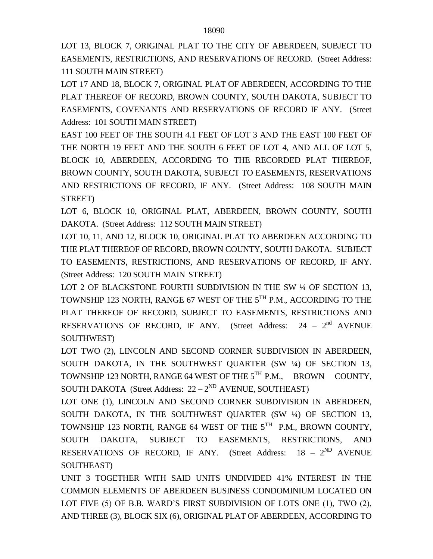LOT 13, BLOCK 7, ORIGINAL PLAT TO THE CITY OF ABERDEEN, SUBJECT TO EASEMENTS, RESTRICTIONS, AND RESERVATIONS OF RECORD. (Street Address: 111 SOUTH MAIN STREET)

LOT 17 AND 18, BLOCK 7, ORIGINAL PLAT OF ABERDEEN, ACCORDING TO THE PLAT THEREOF OF RECORD, BROWN COUNTY, SOUTH DAKOTA, SUBJECT TO EASEMENTS, COVENANTS AND RESERVATIONS OF RECORD IF ANY. (Street Address: 101 SOUTH MAIN STREET)

EAST 100 FEET OF THE SOUTH 4.1 FEET OF LOT 3 AND THE EAST 100 FEET OF THE NORTH 19 FEET AND THE SOUTH 6 FEET OF LOT 4, AND ALL OF LOT 5, BLOCK 10, ABERDEEN, ACCORDING TO THE RECORDED PLAT THEREOF, BROWN COUNTY, SOUTH DAKOTA, SUBJECT TO EASEMENTS, RESERVATIONS AND RESTRICTIONS OF RECORD, IF ANY. (Street Address: 108 SOUTH MAIN STREET)

LOT 6, BLOCK 10, ORIGINAL PLAT, ABERDEEN, BROWN COUNTY, SOUTH DAKOTA. (Street Address: 112 SOUTH MAIN STREET)

LOT 10, 11, AND 12, BLOCK 10, ORIGINAL PLAT TO ABERDEEN ACCORDING TO THE PLAT THEREOF OF RECORD, BROWN COUNTY, SOUTH DAKOTA. SUBJECT TO EASEMENTS, RESTRICTIONS, AND RESERVATIONS OF RECORD, IF ANY. (Street Address: 120 SOUTH MAIN STREET)

LOT 2 OF BLACKSTONE FOURTH SUBDIVISION IN THE SW 1/4 OF SECTION 13, TOWNSHIP 123 NORTH, RANGE 67 WEST OF THE 5TH P.M., ACCORDING TO THE PLAT THEREOF OF RECORD, SUBJECT TO EASEMENTS, RESTRICTIONS AND RESERVATIONS OF RECORD, IF ANY. (Street Address:  $24 - 2<sup>nd</sup>$  AVENUE SOUTHWEST)

LOT TWO (2), LINCOLN AND SECOND CORNER SUBDIVISION IN ABERDEEN, SOUTH DAKOTA, IN THE SOUTHWEST QUARTER (SW ¼) OF SECTION 13, TOWNSHIP 123 NORTH, RANGE 64 WEST OF THE 5<sup>TH</sup> P.M., BROWN COUNTY, SOUTH DAKOTA (Street Address:  $22-2^{ND}$  AVENUE, SOUTHEAST)

LOT ONE (1), LINCOLN AND SECOND CORNER SUBDIVISION IN ABERDEEN, SOUTH DAKOTA, IN THE SOUTHWEST QUARTER (SW ¼) OF SECTION 13, TOWNSHIP 123 NORTH, RANGE 64 WEST OF THE  $5^{TH}$  P.M., BROWN COUNTY, SOUTH DAKOTA, SUBJECT TO EASEMENTS, RESTRICTIONS, AND RESERVATIONS OF RECORD, IF ANY. (Street Address:  $18 - 2^{ND}$  AVENUE SOUTHEAST)

UNIT 3 TOGETHER WITH SAID UNITS UNDIVIDED 41% INTEREST IN THE COMMON ELEMENTS OF ABERDEEN BUSINESS CONDOMINIUM LOCATED ON LOT FIVE (5) OF B.B. WARD'S FIRST SUBDIVISION OF LOTS ONE (1), TWO (2), AND THREE (3), BLOCK SIX (6), ORIGINAL PLAT OF ABERDEEN, ACCORDING TO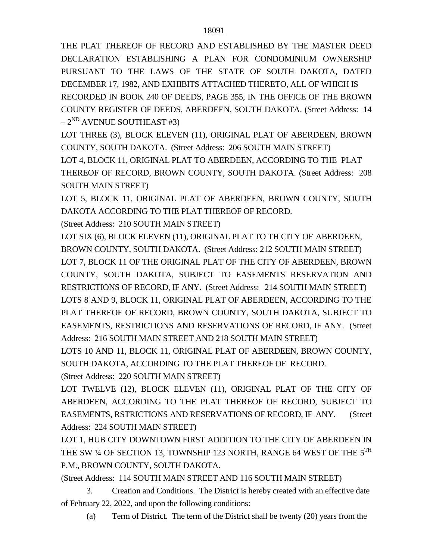THE PLAT THEREOF OF RECORD AND ESTABLISHED BY THE MASTER DEED DECLARATION ESTABLISHING A PLAN FOR CONDOMINIUM OWNERSHIP PURSUANT TO THE LAWS OF THE STATE OF SOUTH DAKOTA, DATED DECEMBER 17, 1982, AND EXHIBITS ATTACHED THERETO, ALL OF WHICH IS RECORDED IN BOOK 240 OF DEEDS, PAGE 355, IN THE OFFICE OF THE BROWN COUNTY REGISTER OF DEEDS, ABERDEEN, SOUTH DAKOTA. (Street Address: 14  $-2^{ND}$  AVENUE SOUTHEAST #3)

LOT THREE (3), BLOCK ELEVEN (11), ORIGINAL PLAT OF ABERDEEN, BROWN COUNTY, SOUTH DAKOTA. (Street Address: 206 SOUTH MAIN STREET)

LOT 4, BLOCK 11, ORIGINAL PLAT TO ABERDEEN, ACCORDING TO THE PLAT THEREOF OF RECORD, BROWN COUNTY, SOUTH DAKOTA. (Street Address: 208 SOUTH MAIN STREET)

LOT 5, BLOCK 11, ORIGINAL PLAT OF ABERDEEN, BROWN COUNTY, SOUTH DAKOTA ACCORDING TO THE PLAT THEREOF OF RECORD.

(Street Address: 210 SOUTH MAIN STREET)

LOT SIX (6), BLOCK ELEVEN (11), ORIGINAL PLAT TO TH CITY OF ABERDEEN, BROWN COUNTY, SOUTH DAKOTA. (Street Address: 212 SOUTH MAIN STREET) LOT 7, BLOCK 11 OF THE ORIGINAL PLAT OF THE CITY OF ABERDEEN, BROWN COUNTY, SOUTH DAKOTA, SUBJECT TO EASEMENTS RESERVATION AND RESTRICTIONS OF RECORD, IF ANY. (Street Address: 214 SOUTH MAIN STREET) LOTS 8 AND 9, BLOCK 11, ORIGINAL PLAT OF ABERDEEN, ACCORDING TO THE PLAT THEREOF OF RECORD, BROWN COUNTY, SOUTH DAKOTA, SUBJECT TO EASEMENTS, RESTRICTIONS AND RESERVATIONS OF RECORD, IF ANY. (Street Address: 216 SOUTH MAIN STREET AND 218 SOUTH MAIN STREET)

LOTS 10 AND 11, BLOCK 11, ORIGINAL PLAT OF ABERDEEN, BROWN COUNTY, SOUTH DAKOTA, ACCORDING TO THE PLAT THEREOF OF RECORD.

(Street Address: 220 SOUTH MAIN STREET)

LOT TWELVE (12), BLOCK ELEVEN (11), ORIGINAL PLAT OF THE CITY OF ABERDEEN, ACCORDING TO THE PLAT THEREOF OF RECORD, SUBJECT TO EASEMENTS, RSTRICTIONS AND RESERVATIONS OF RECORD, IF ANY. (Street Address: 224 SOUTH MAIN STREET)

LOT 1, HUB CITY DOWNTOWN FIRST ADDITION TO THE CITY OF ABERDEEN IN THE SW <sup>1</sup>/4 OF SECTION 13, TOWNSHIP 123 NORTH, RANGE 64 WEST OF THE 5<sup>TH</sup> P.M., BROWN COUNTY, SOUTH DAKOTA.

(Street Address: 114 SOUTH MAIN STREET AND 116 SOUTH MAIN STREET)

3. Creation and Conditions. The District is hereby created with an effective date of February 22, 2022, and upon the following conditions:

(a) Term of District. The term of the District shall be twenty (20) years from the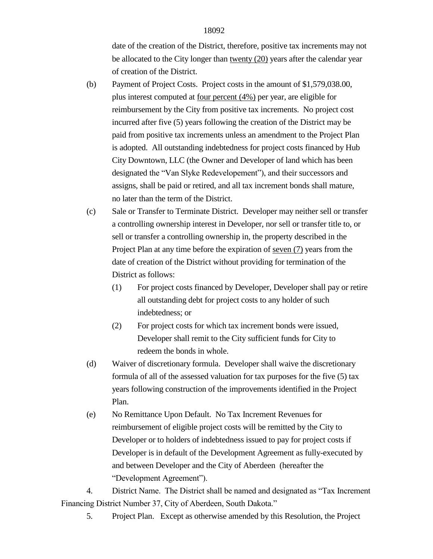date of the creation of the District, therefore, positive tax increments may not be allocated to the City longer than twenty (20) years after the calendar year of creation of the District.

- (b) Payment of Project Costs. Project costs in the amount of \$1,579,038.00, plus interest computed at four percent (4%) per year, are eligible for reimbursement by the City from positive tax increments. No project cost incurred after five (5) years following the creation of the District may be paid from positive tax increments unless an amendment to the Project Plan is adopted. All outstanding indebtedness for project costs financed by Hub City Downtown, LLC (the Owner and Developer of land which has been designated the "Van Slyke Redevelopement"), and their successors and assigns, shall be paid or retired, and all tax increment bonds shall mature, no later than the term of the District.
- (c) Sale or Transfer to Terminate District. Developer may neither sell or transfer a controlling ownership interest in Developer, nor sell or transfer title to, or sell or transfer a controlling ownership in, the property described in the Project Plan at any time before the expiration of seven (7) years from the date of creation of the District without providing for termination of the District as follows:
	- (1) For project costs financed by Developer, Developer shall pay or retire all outstanding debt for project costs to any holder of such indebtedness; or
	- (2) For project costs for which tax increment bonds were issued, Developer shall remit to the City sufficient funds for City to redeem the bonds in whole.
- (d) Waiver of discretionary formula. Developer shall waive the discretionary formula of all of the assessed valuation for tax purposes for the five (5) tax years following construction of the improvements identified in the Project Plan.
- (e) No Remittance Upon Default. No Tax Increment Revenues for reimbursement of eligible project costs will be remitted by the City to Developer or to holders of indebtedness issued to pay for project costs if Developer is in default of the Development Agreement as fully-executed by and between Developer and the City of Aberdeen (hereafter the "Development Agreement").

4. District Name. The District shall be named and designated as "Tax Increment Financing District Number 37, City of Aberdeen, South Dakota."

5. Project Plan. Except as otherwise amended by this Resolution, the Project

18092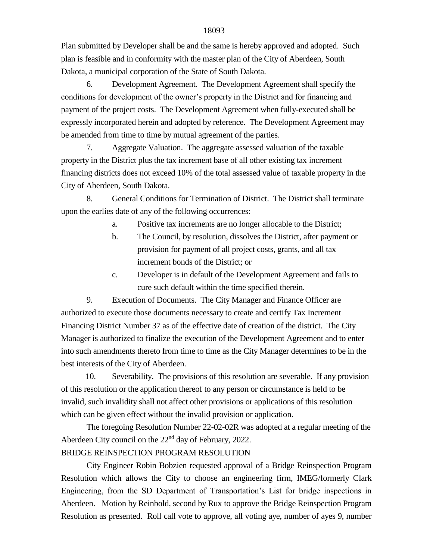Plan submitted by Developer shall be and the same is hereby approved and adopted. Such plan is feasible and in conformity with the master plan of the City of Aberdeen, South Dakota, a municipal corporation of the State of South Dakota.

6. Development Agreement. The Development Agreement shall specify the conditions for development of the owner's property in the District and for financing and payment of the project costs. The Development Agreement when fully-executed shall be expressly incorporated herein and adopted by reference. The Development Agreement may be amended from time to time by mutual agreement of the parties.

7. Aggregate Valuation. The aggregate assessed valuation of the taxable property in the District plus the tax increment base of all other existing tax increment financing districts does not exceed 10% of the total assessed value of taxable property in the City of Aberdeen, South Dakota.

8. General Conditions for Termination of District. The District shall terminate upon the earlies date of any of the following occurrences:

a. Positive tax increments are no longer allocable to the District;

- b. The Council, by resolution, dissolves the District, after payment or provision for payment of all project costs, grants, and all tax increment bonds of the District; or
- c. Developer is in default of the Development Agreement and fails to cure such default within the time specified therein.

9. Execution of Documents. The City Manager and Finance Officer are authorized to execute those documents necessary to create and certify Tax Increment Financing District Number 37 as of the effective date of creation of the district. The City Manager is authorized to finalize the execution of the Development Agreement and to enter into such amendments thereto from time to time as the City Manager determines to be in the best interests of the City of Aberdeen.

 10. Severability. The provisions of this resolution are severable. If any provision of this resolution or the application thereof to any person or circumstance is held to be invalid, such invalidity shall not affect other provisions or applications of this resolution which can be given effect without the invalid provision or application.

The foregoing Resolution Number 22-02-02R was adopted at a regular meeting of the Aberdeen City council on the  $22<sup>nd</sup>$  day of February, 2022. BRIDGE REINSPECTION PROGRAM RESOLUTION

City Engineer Robin Bobzien requested approval of a Bridge Reinspection Program Resolution which allows the City to choose an engineering firm, IMEG/formerly Clark Engineering, from the SD Department of Transportation's List for bridge inspections in Aberdeen. Motion by Reinbold, second by Rux to approve the Bridge Reinspection Program Resolution as presented. Roll call vote to approve, all voting aye, number of ayes 9, number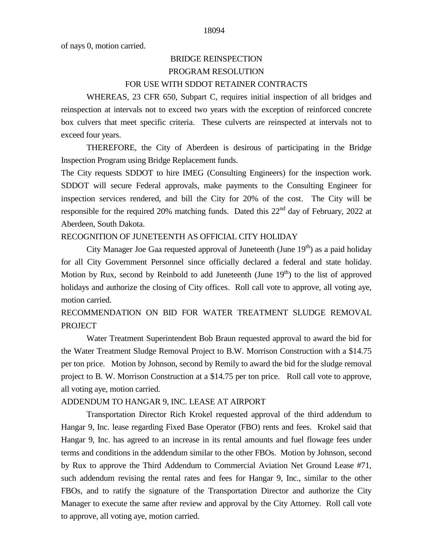of nays 0, motion carried.

# BRIDGE REINSPECTION PROGRAM RESOLUTION FOR USE WITH SDDOT RETAINER CONTRACTS

WHEREAS, 23 CFR 650, Subpart C, requires initial inspection of all bridges and reinspection at intervals not to exceed two years with the exception of reinforced concrete box culvers that meet specific criteria. These culverts are reinspected at intervals not to exceed four years.

THEREFORE, the City of Aberdeen is desirous of participating in the Bridge Inspection Program using Bridge Replacement funds.

The City requests SDDOT to hire IMEG (Consulting Engineers) for the inspection work. SDDOT will secure Federal approvals, make payments to the Consulting Engineer for inspection services rendered, and bill the City for 20% of the cost. The City will be responsible for the required 20% matching funds. Dated this 22<sup>nd</sup> day of February, 2022 at Aberdeen, South Dakota.

### RECOGNITION OF JUNETEENTH AS OFFICIAL CITY HOLIDAY

City Manager Joe Gaa requested approval of Juneteenth (June  $19<sup>th</sup>$ ) as a paid holiday for all City Government Personnel since officially declared a federal and state holiday. Motion by Rux, second by Reinbold to add Juneteenth (June  $19<sup>th</sup>$ ) to the list of approved holidays and authorize the closing of City offices. Roll call vote to approve, all voting aye, motion carried.

# RECOMMENDATION ON BID FOR WATER TREATMENT SLUDGE REMOVAL PROJECT

Water Treatment Superintendent Bob Braun requested approval to award the bid for the Water Treatment Sludge Removal Project to B.W. Morrison Construction with a \$14.75 per ton price. Motion by Johnson, second by Remily to award the bid for the sludge removal project to B. W. Morrison Construction at a \$14.75 per ton price. Roll call vote to approve, all voting aye, motion carried.

#### ADDENDUM TO HANGAR 9, INC. LEASE AT AIRPORT

Transportation Director Rich Krokel requested approval of the third addendum to Hangar 9, Inc. lease regarding Fixed Base Operator (FBO) rents and fees. Krokel said that Hangar 9, Inc. has agreed to an increase in its rental amounts and fuel flowage fees under terms and conditions in the addendum similar to the other FBOs. Motion by Johnson, second by Rux to approve the Third Addendum to Commercial Aviation Net Ground Lease #71, such addendum revising the rental rates and fees for Hangar 9, Inc., similar to the other FBOs, and to ratify the signature of the Transportation Director and authorize the City Manager to execute the same after review and approval by the City Attorney. Roll call vote to approve, all voting aye, motion carried.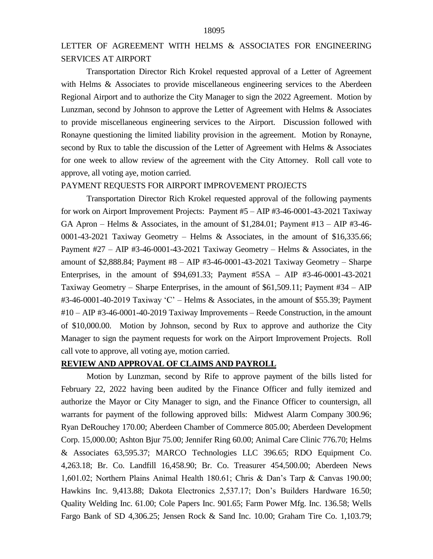# LETTER OF AGREEMENT WITH HELMS & ASSOCIATES FOR ENGINEERING SERVICES AT AIRPORT

Transportation Director Rich Krokel requested approval of a Letter of Agreement with Helms & Associates to provide miscellaneous engineering services to the Aberdeen Regional Airport and to authorize the City Manager to sign the 2022 Agreement. Motion by Lunzman, second by Johnson to approve the Letter of Agreement with Helms & Associates to provide miscellaneous engineering services to the Airport. Discussion followed with Ronayne questioning the limited liability provision in the agreement. Motion by Ronayne, second by Rux to table the discussion of the Letter of Agreement with Helms & Associates for one week to allow review of the agreement with the City Attorney. Roll call vote to approve, all voting aye, motion carried.

#### PAYMENT REQUESTS FOR AIRPORT IMPROVEMENT PROJECTS

Transportation Director Rich Krokel requested approval of the following payments for work on Airport Improvement Projects: Payment #5 – AIP #3-46-0001-43-2021 Taxiway GA Apron – Helms & Associates, in the amount of \$1,284.01; Payment  $\#13 - AIP \#3$ -46-0001-43-2021 Taxiway Geometry – Helms & Associates, in the amount of \$16,335.66; Payment  $\#27 - AIP$   $\#3$ -46-0001-43-2021 Taxiway Geometry – Helms & Associates, in the amount of \$2,888.84; Payment #8 – AIP #3-46-0001-43-2021 Taxiway Geometry – Sharpe Enterprises, in the amount of \$94,691.33; Payment #5SA – AIP #3-46-0001-43-2021 Taxiway Geometry – Sharpe Enterprises, in the amount of \$61,509.11; Payment #34 – AIP #3-46-0001-40-2019 Taxiway 'C' – Helms & Associates, in the amount of \$55.39; Payment #10 – AIP #3-46-0001-40-2019 Taxiway Improvements – Reede Construction, in the amount of \$10,000.00. Motion by Johnson, second by Rux to approve and authorize the City Manager to sign the payment requests for work on the Airport Improvement Projects. Roll call vote to approve, all voting aye, motion carried.

#### **REVIEW AND APPROVAL OF CLAIMS AND PAYROLL**

Motion by Lunzman, second by Rife to approve payment of the bills listed for February 22, 2022 having been audited by the Finance Officer and fully itemized and authorize the Mayor or City Manager to sign, and the Finance Officer to countersign, all warrants for payment of the following approved bills: Midwest Alarm Company 300.96; Ryan DeRouchey 170.00; Aberdeen Chamber of Commerce 805.00; Aberdeen Development Corp. 15,000.00; Ashton Bjur 75.00; Jennifer Ring 60.00; Animal Care Clinic 776.70; Helms & Associates 63,595.37; MARCO Technologies LLC 396.65; RDO Equipment Co. 4,263.18; Br. Co. Landfill 16,458.90; Br. Co. Treasurer 454,500.00; Aberdeen News 1,601.02; Northern Plains Animal Health 180.61; Chris & Dan's Tarp & Canvas 190.00; Hawkins Inc. 9,413.88; Dakota Electronics 2,537.17; Don's Builders Hardware 16.50; Quality Welding Inc. 61.00; Cole Papers Inc. 901.65; Farm Power Mfg. Inc. 136.58; Wells Fargo Bank of SD 4,306.25; Jensen Rock & Sand Inc. 10.00; Graham Tire Co. 1,103.79;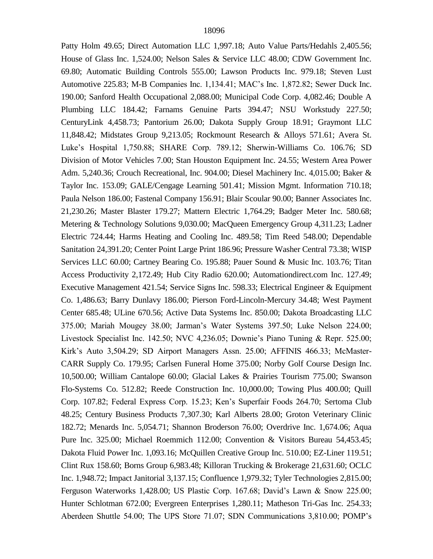Patty Holm 49.65; Direct Automation LLC 1,997.18; Auto Value Parts/Hedahls 2,405.56; House of Glass Inc. 1,524.00; Nelson Sales & Service LLC 48.00; CDW Government Inc. 69.80; Automatic Building Controls 555.00; Lawson Products Inc. 979.18; Steven Lust Automotive 225.83; M-B Companies Inc. 1,134.41; MAC's Inc. 1,872.82; Sewer Duck Inc. 190.00; Sanford Health Occupational 2,088.00; Municipal Code Corp. 4,082.46; Double A Plumbing LLC 184.42; Farnams Genuine Parts 394.47; NSU Workstudy 227.50; CenturyLink 4,458.73; Pantorium 26.00; Dakota Supply Group 18.91; Graymont LLC 11,848.42; Midstates Group 9,213.05; Rockmount Research & Alloys 571.61; Avera St. Luke's Hospital 1,750.88; SHARE Corp. 789.12; Sherwin-Williams Co. 106.76; SD Division of Motor Vehicles 7.00; Stan Houston Equipment Inc. 24.55; Western Area Power Adm. 5,240.36; Crouch Recreational, Inc. 904.00; Diesel Machinery Inc. 4,015.00; Baker & Taylor Inc. 153.09; GALE/Cengage Learning 501.41; Mission Mgmt. Information 710.18; Paula Nelson 186.00; Fastenal Company 156.91; Blair Scoular 90.00; Banner Associates Inc. 21,230.26; Master Blaster 179.27; Mattern Electric 1,764.29; Badger Meter Inc. 580.68; Metering & Technology Solutions 9,030.00; MacQueen Emergency Group 4,311.23; Ladner Electric 724.44; Harms Heating and Cooling Inc. 489.58; Tim Reed 548.00; Dependable Sanitation 24,391.20; Center Point Large Print 186.96; Pressure Washer Central 73.38; WISP Services LLC 60.00; Cartney Bearing Co. 195.88; Pauer Sound & Music Inc. 103.76; Titan Access Productivity 2,172.49; Hub City Radio 620.00; Automationdirect.com Inc. 127.49; Executive Management 421.54; Service Signs Inc. 598.33; Electrical Engineer & Equipment Co. 1,486.63; Barry Dunlavy 186.00; Pierson Ford-Lincoln-Mercury 34.48; West Payment Center 685.48; ULine 670.56; Active Data Systems Inc. 850.00; Dakota Broadcasting LLC 375.00; Mariah Mougey 38.00; Jarman's Water Systems 397.50; Luke Nelson 224.00; Livestock Specialist Inc. 142.50; NVC 4,236.05; Downie's Piano Tuning & Repr. 525.00; Kirk's Auto 3,504.29; SD Airport Managers Assn. 25.00; AFFINIS 466.33; McMaster-CARR Supply Co. 179.95; Carlsen Funeral Home 375.00; Norby Golf Course Design Inc. 10,500.00; William Cantalope 60.00; Glacial Lakes & Prairies Tourism 775.00; Swanson Flo-Systems Co. 512.82; Reede Construction Inc. 10,000.00; Towing Plus 400.00; Quill Corp. 107.82; Federal Express Corp. 15.23; Ken's Superfair Foods 264.70; Sertoma Club 48.25; Century Business Products 7,307.30; Karl Alberts 28.00; Groton Veterinary Clinic 182.72; Menards Inc. 5,054.71; Shannon Broderson 76.00; Overdrive Inc. 1,674.06; Aqua Pure Inc. 325.00; Michael Roemmich 112.00; Convention & Visitors Bureau 54,453.45; Dakota Fluid Power Inc. 1,093.16; McQuillen Creative Group Inc. 510.00; EZ-Liner 119.51; Clint Rux 158.60; Borns Group 6,983.48; Killoran Trucking & Brokerage 21,631.60; OCLC Inc. 1,948.72; Impact Janitorial 3,137.15; Confluence 1,979.32; Tyler Technologies 2,815.00; Ferguson Waterworks 1,428.00; US Plastic Corp. 167.68; David's Lawn & Snow 225.00; Hunter Schlotman 672.00; Evergreen Enterprises 1,280.11; Matheson Tri-Gas Inc. 254.33; Aberdeen Shuttle 54.00; The UPS Store 71.07; SDN Communications 3,810.00; POMP's